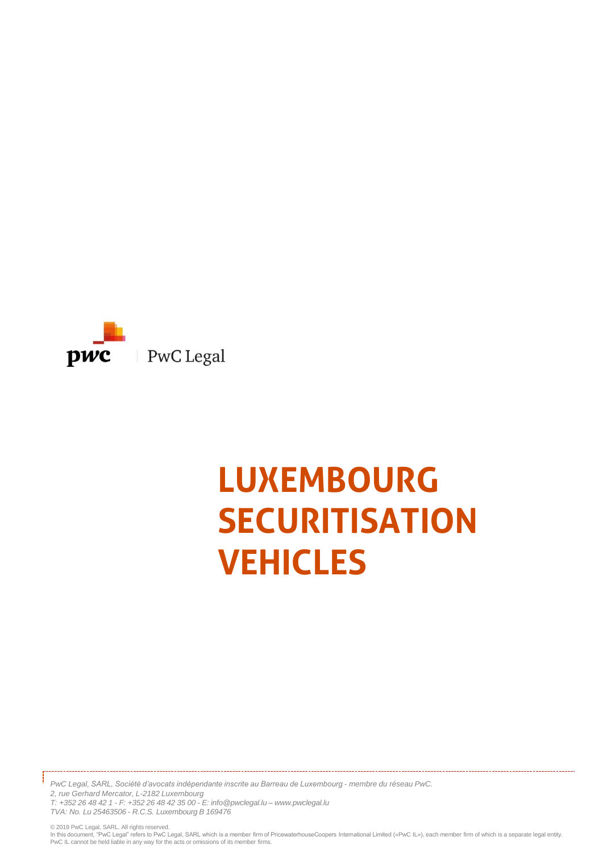

# **LUXEMBOURG SECURITISATION VEHICLES**

*PwC Legal, SARL, Société d'avocats indépendante inscrite au Barreau de Luxembourg - membre du réseau PwC. 2, rue Gerhard Mercator, L-2182 Luxembourg*

*T: +352 26 48 42 1 - F: +352 26 48 42 35 00 - E: info@pwclegal.lu – www.pwclegal.lu TVA: No. Lu 25463506 - R.C.S. Luxembourg B 169476*

© 2019 PwC Legal, SARL. All rights reserved.<br>In this document, "PwC Legal" refers to PwC Legal, SARL which is a member firm of PricewaterhouseCoopers International Limited («PwC IL»), each member firm of which is a separa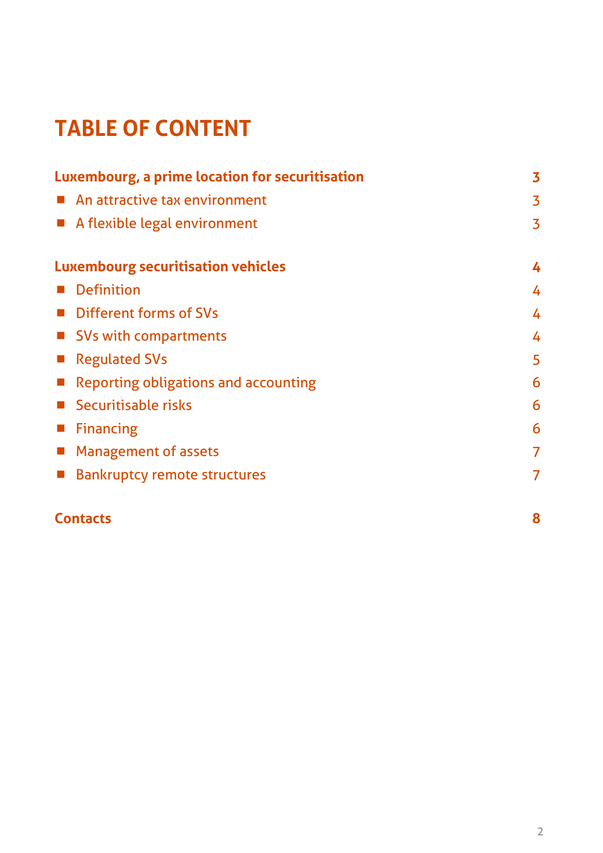# **TABLE OF CONTENT**

| Luxembourg, a prime location for securitisation            | 3              |
|------------------------------------------------------------|----------------|
| An attractive tax environment                              | 3              |
| A flexible legal environment<br>$\mathcal{L}_{\text{eff}}$ | 3              |
| <b>Luxembourg securitisation vehicles</b>                  | 4              |
| <b>Definition</b>                                          | 4              |
| <b>Different forms of SVs</b>                              | 4              |
| ■ SVs with compartments                                    | 4              |
| <b>Regulated SVs</b>                                       | 5              |
| <b>Reporting obligations and accounting</b>                | 6              |
| Securitisable risks                                        | 6              |
| <b>Financing</b>                                           | 6              |
| <b>Management of assets</b>                                | $\overline{7}$ |
| <b>Bankruptcy remote structures</b>                        | $\overline{7}$ |
|                                                            |                |

# **Contacts 8**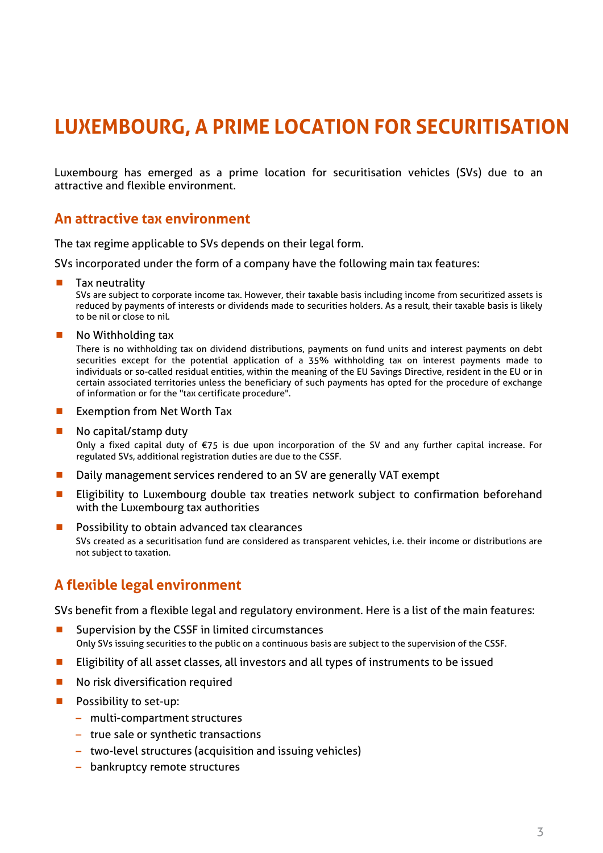# **LUXEMBOURG, A PRIME LOCATION FOR SECURITISATION**

Luxembourg has emerged as a prime location for securitisation vehicles (SVs) due to an attractive and flexible environment.

## **An attractive tax environment**

The tax regime applicable to SVs depends on their legal form.

SVs incorporated under the form of a company have the following main tax features:

Tax neutrality

SVs are subject to corporate income tax. However, their taxable basis including income from securitized assets is reduced by payments of interests or dividends made to securities holders. As a result, their taxable basis is likely to be nil or close to nil.

No Withholding tax

There is no withholding tax on dividend distributions, payments on fund units and interest payments on debt securities except for the potential application of a 35% withholding tax on interest payments made to individuals or so-called residual entities, within the meaning of the EU Savings Directive, resident in the EU or in certain associated territories unless the beneficiary of such payments has opted for the procedure of exchange of information or for the "tax certificate procedure".

- **EXEMPTE Exemption from Net Worth Tax**
- No capital/stamp duty

Only a fixed capital duty of €75 is due upon incorporation of the SV and any further capital increase. For regulated SVs, additional registration duties are due to the CSSF.

- Daily management services rendered to an SV are generally VAT exempt
- Eligibility to Luxembourg double tax treaties network subject to confirmation beforehand with the Luxembourg tax authorities
- **Possibility to obtain advanced tax clearances**

SVs created as a securitisation fund are considered as transparent vehicles, i.e. their income or distributions are not subject to taxation.

## **A flexible legal environment**

SVs benefit from a flexible legal and regulatory environment. Here is a list of the main features:

- Supervision by the CSSF in limited circumstances Only SVs issuing securities to the public on a continuous basis are subject to the supervision of the CSSF.
- **Eligibility of all asset classes, all investors and all types of instruments to be issued**
- **No risk diversification required**
- $\blacksquare$  Possibility to set-up:
	- multi-compartment structures
	- true sale or synthetic transactions
	- two-level structures (acquisition and issuing vehicles)
	- bankruptcy remote structures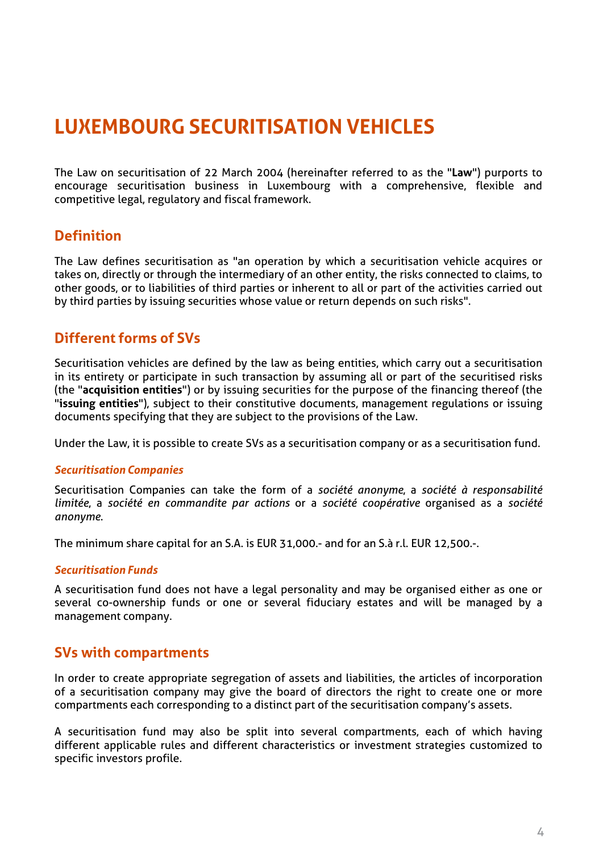# **LUXEMBOURG SECURITISATION VEHICLES**

The Law on securitisation of 22 March 2004 (hereinafter referred to as the "**Law**") purports to encourage securitisation business in Luxembourg with a comprehensive, flexible and competitive legal, regulatory and fiscal framework.

# **Definition**

The Law defines securitisation as "an operation by which a securitisation vehicle acquires or takes on, directly or through the intermediary of an other entity, the risks connected to claims, to other goods, or to liabilities of third parties or inherent to all or part of the activities carried out by third parties by issuing securities whose value or return depends on such risks".

# **Different forms of SVs**

Securitisation vehicles are defined by the law as being entities, which carry out a securitisation in its entirety or participate in such transaction by assuming all or part of the securitised risks (the "**acquisition entities**") or by issuing securities for the purpose of the financing thereof (the "**issuing entities**"), subject to their constitutive documents, management regulations or issuing documents specifying that they are subject to the provisions of the Law.

Under the Law, it is possible to create SVs as a securitisation company or as a securitisation fund.

#### *Securitisation Companies*

Securitisation Companies can take the form of a *société anonyme*, a *société à responsabilité limitée*, a *société en commandite par actions* or a *société coopérative* organised as a *société anonyme*.

The minimum share capital for an S.A. is EUR 31,000.- and for an S.à r.l. EUR 12,500.-.

#### *Securitisation Funds*

A securitisation fund does not have a legal personality and may be organised either as one or several co-ownership funds or one or several fiduciary estates and will be managed by a management company.

## **SVs with compartments**

In order to create appropriate segregation of assets and liabilities, the articles of incorporation of a securitisation company may give the board of directors the right to create one or more compartments each corresponding to a distinct part of the securitisation company's assets.

A securitisation fund may also be split into several compartments, each of which having different applicable rules and different characteristics or investment strategies customized to specific investors profile.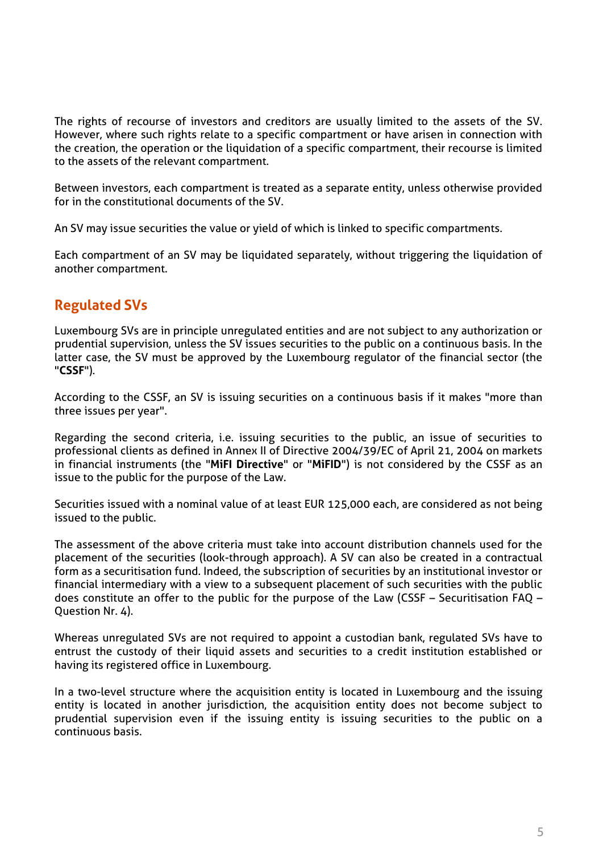The rights of recourse of investors and creditors are usually limited to the assets of the SV. However, where such rights relate to a specific compartment or have arisen in connection with the creation, the operation or the liquidation of a specific compartment, their recourse is limited to the assets of the relevant compartment.

Between investors, each compartment is treated as a separate entity, unless otherwise provided for in the constitutional documents of the SV.

An SV may issue securities the value or yield of which is linked to specific compartments.

Each compartment of an SV may be liquidated separately, without triggering the liquidation of another compartment.

# **Regulated SVs**

Luxembourg SVs are in principle unregulated entities and are not subject to any authorization or prudential supervision, unless the SV issues securities to the public on a continuous basis. In the latter case, the SV must be approved by the Luxembourg regulator of the financial sector (the "**CSSF**").

According to the CSSF, an SV is issuing securities on a continuous basis if it makes "more than three issues per year".

Regarding the second criteria, i.e. issuing securities to the public, an issue of securities to professional clients as defined in Annex II of Directive 2004/39/EC of April 21, 2004 on markets in financial instruments (the "**MiFI Directive**" or "**MiFID**") is not considered by the CSSF as an issue to the public for the purpose of the Law.

Securities issued with a nominal value of at least EUR 125,000 each, are considered as not being issued to the public.

The assessment of the above criteria must take into account distribution channels used for the placement of the securities (look-through approach). A SV can also be created in a contractual form as a securitisation fund. Indeed, the subscription of securities by an institutional investor or financial intermediary with a view to a subsequent placement of such securities with the public does constitute an offer to the public for the purpose of the Law (CSSF – Securitisation FAQ – Question Nr. 4).

Whereas unregulated SVs are not required to appoint a custodian bank, regulated SVs have to entrust the custody of their liquid assets and securities to a credit institution established or having its registered office in Luxembourg.

In a two-level structure where the acquisition entity is located in Luxembourg and the issuing entity is located in another jurisdiction, the acquisition entity does not become subject to prudential supervision even if the issuing entity is issuing securities to the public on a continuous basis.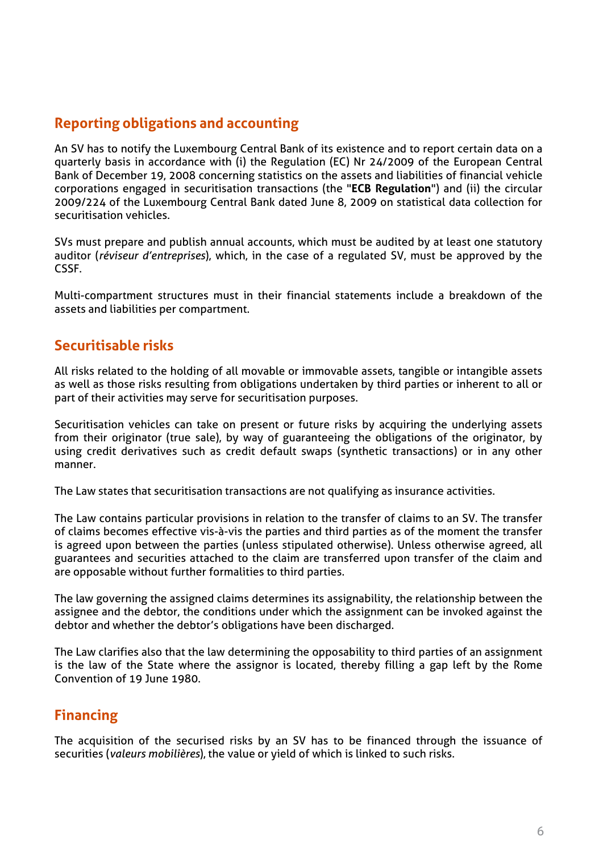# **Reporting obligations and accounting**

An SV has to notify the Luxembourg Central Bank of its existence and to report certain data on a quarterly basis in accordance with (i) the Regulation (EC) Nr 24/2009 of the European Central Bank of December 19, 2008 concerning statistics on the assets and liabilities of financial vehicle corporations engaged in securitisation transactions (the "**ECB Regulation**") and (ii) the circular 2009/224 of the Luxembourg Central Bank dated June 8, 2009 on statistical data collection for securitisation vehicles.

SVs must prepare and publish annual accounts, which must be audited by at least one statutory auditor (*réviseur d'entreprises*), which, in the case of a regulated SV, must be approved by the CSSF.

Multi-compartment structures must in their financial statements include a breakdown of the assets and liabilities per compartment.

# **Securitisable risks**

All risks related to the holding of all movable or immovable assets, tangible or intangible assets as well as those risks resulting from obligations undertaken by third parties or inherent to all or part of their activities may serve for securitisation purposes.

Securitisation vehicles can take on present or future risks by acquiring the underlying assets from their originator (true sale), by way of guaranteeing the obligations of the originator, by using credit derivatives such as credit default swaps (synthetic transactions) or in any other manner.

The Law states that securitisation transactions are not qualifying as insurance activities.

The Law contains particular provisions in relation to the transfer of claims to an SV. The transfer of claims becomes effective vis-à-vis the parties and third parties as of the moment the transfer is agreed upon between the parties (unless stipulated otherwise). Unless otherwise agreed, all guarantees and securities attached to the claim are transferred upon transfer of the claim and are opposable without further formalities to third parties.

The law governing the assigned claims determines its assignability, the relationship between the assignee and the debtor, the conditions under which the assignment can be invoked against the debtor and whether the debtor's obligations have been discharged.

The Law clarifies also that the law determining the opposability to third parties of an assignment is the law of the State where the assignor is located, thereby filling a gap left by the Rome Convention of 19 June 1980.

# **Financing**

The acquisition of the securised risks by an SV has to be financed through the issuance of securities (*valeurs mobilières*), the value or yield of which is linked to such risks.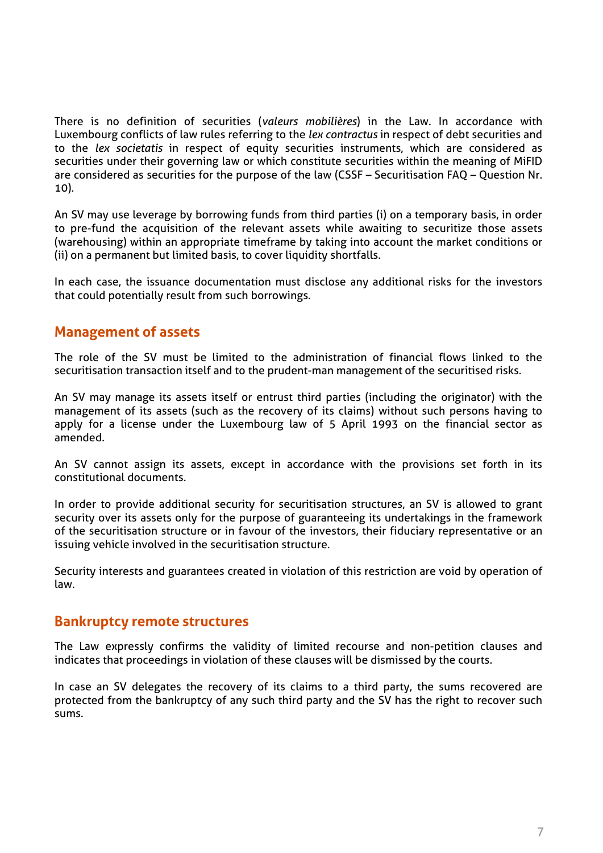There is no definition of securities (*valeurs mobilières*) in the Law. In accordance with Luxembourg conflicts of law rules referring to the *lex contractus* in respect of debt securities and to the *lex societatis* in respect of equity securities instruments, which are considered as securities under their governing law or which constitute securities within the meaning of MiFID are considered as securities for the purpose of the law (CSSF – Securitisation FAQ – Question Nr. 10).

An SV may use leverage by borrowing funds from third parties (i) on a temporary basis, in order to pre-fund the acquisition of the relevant assets while awaiting to securitize those assets (warehousing) within an appropriate timeframe by taking into account the market conditions or (ii) on a permanent but limited basis, to cover liquidity shortfalls.

In each case, the issuance documentation must disclose any additional risks for the investors that could potentially result from such borrowings.

## **Management of assets**

The role of the SV must be limited to the administration of financial flows linked to the securitisation transaction itself and to the prudent-man management of the securitised risks.

An SV may manage its assets itself or entrust third parties (including the originator) with the management of its assets (such as the recovery of its claims) without such persons having to apply for a license under the Luxembourg law of 5 April 1993 on the financial sector as amended.

An SV cannot assign its assets, except in accordance with the provisions set forth in its constitutional documents.

In order to provide additional security for securitisation structures, an SV is allowed to grant security over its assets only for the purpose of guaranteeing its undertakings in the framework of the securitisation structure or in favour of the investors, their fiduciary representative or an issuing vehicle involved in the securitisation structure.

Security interests and guarantees created in violation of this restriction are void by operation of law.

#### **Bankruptcy remote structures**

The Law expressly confirms the validity of limited recourse and non-petition clauses and indicates that proceedings in violation of these clauses will be dismissed by the courts.

In case an SV delegates the recovery of its claims to a third party, the sums recovered are protected from the bankruptcy of any such third party and the SV has the right to recover such sums.